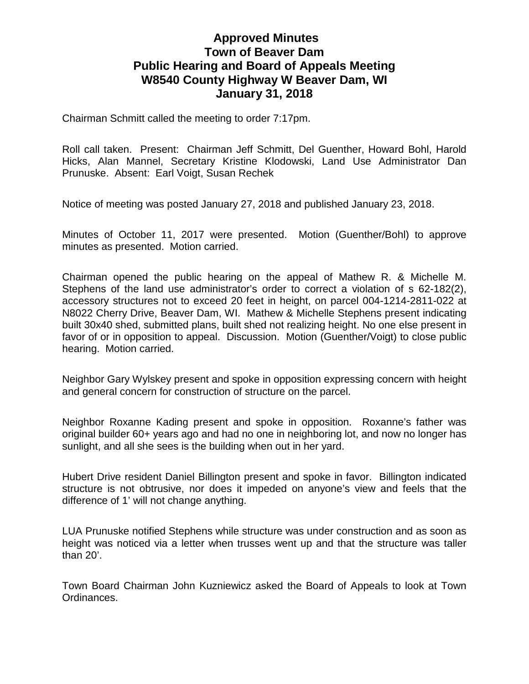## **Approved Minutes Town of Beaver Dam Public Hearing and Board of Appeals Meeting W8540 County Highway W Beaver Dam, WI January 31, 2018**

Chairman Schmitt called the meeting to order 7:17pm.

Roll call taken. Present: Chairman Jeff Schmitt, Del Guenther, Howard Bohl, Harold Hicks, Alan Mannel, Secretary Kristine Klodowski, Land Use Administrator Dan Prunuske. Absent: Earl Voigt, Susan Rechek

Notice of meeting was posted January 27, 2018 and published January 23, 2018.

Minutes of October 11, 2017 were presented. Motion (Guenther/Bohl) to approve minutes as presented. Motion carried.

Chairman opened the public hearing on the appeal of Mathew R. & Michelle M. Stephens of the land use administrator's order to correct a violation of s 62-182(2), accessory structures not to exceed 20 feet in height, on parcel 004-1214-2811-022 at N8022 Cherry Drive, Beaver Dam, WI. Mathew & Michelle Stephens present indicating built 30x40 shed, submitted plans, built shed not realizing height. No one else present in favor of or in opposition to appeal. Discussion. Motion (Guenther/Voigt) to close public hearing. Motion carried.

Neighbor Gary Wylskey present and spoke in opposition expressing concern with height and general concern for construction of structure on the parcel.

Neighbor Roxanne Kading present and spoke in opposition. Roxanne's father was original builder 60+ years ago and had no one in neighboring lot, and now no longer has sunlight, and all she sees is the building when out in her yard.

Hubert Drive resident Daniel Billington present and spoke in favor. Billington indicated structure is not obtrusive, nor does it impeded on anyone's view and feels that the difference of 1' will not change anything.

LUA Prunuske notified Stephens while structure was under construction and as soon as height was noticed via a letter when trusses went up and that the structure was taller than 20'.

Town Board Chairman John Kuzniewicz asked the Board of Appeals to look at Town Ordinances.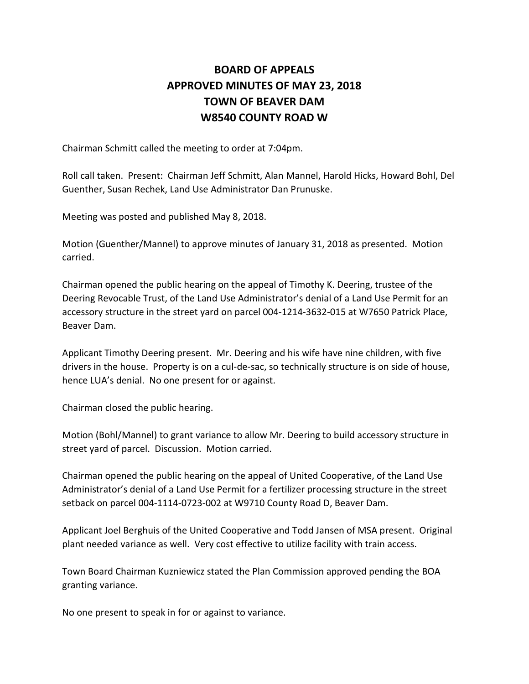## **BOARD OF APPEALS APPROVED MINUTES OF MAY 23, 2018 TOWN OF BEAVER DAM W8540 COUNTY ROAD W**

Chairman Schmitt called the meeting to order at 7:04pm.

Roll call taken. Present: Chairman Jeff Schmitt, Alan Mannel, Harold Hicks, Howard Bohl, Del Guenther, Susan Rechek, Land Use Administrator Dan Prunuske.

Meeting was posted and published May 8, 2018.

Motion (Guenther/Mannel) to approve minutes of January 31, 2018 as presented. Motion carried.

Chairman opened the public hearing on the appeal of Timothy K. Deering, trustee of the Deering Revocable Trust, of the Land Use Administrator's denial of a Land Use Permit for an accessory structure in the street yard on parcel 004-1214-3632-015 at W7650 Patrick Place, Beaver Dam.

Applicant Timothy Deering present. Mr. Deering and his wife have nine children, with five drivers in the house. Property is on a cul-de-sac, so technically structure is on side of house, hence LUA's denial. No one present for or against.

Chairman closed the public hearing.

Motion (Bohl/Mannel) to grant variance to allow Mr. Deering to build accessory structure in street yard of parcel. Discussion. Motion carried.

Chairman opened the public hearing on the appeal of United Cooperative, of the Land Use Administrator's denial of a Land Use Permit for a fertilizer processing structure in the street setback on parcel 004-1114-0723-002 at W9710 County Road D, Beaver Dam.

Applicant Joel Berghuis of the United Cooperative and Todd Jansen of MSA present. Original plant needed variance as well. Very cost effective to utilize facility with train access.

Town Board Chairman Kuzniewicz stated the Plan Commission approved pending the BOA granting variance.

No one present to speak in for or against to variance.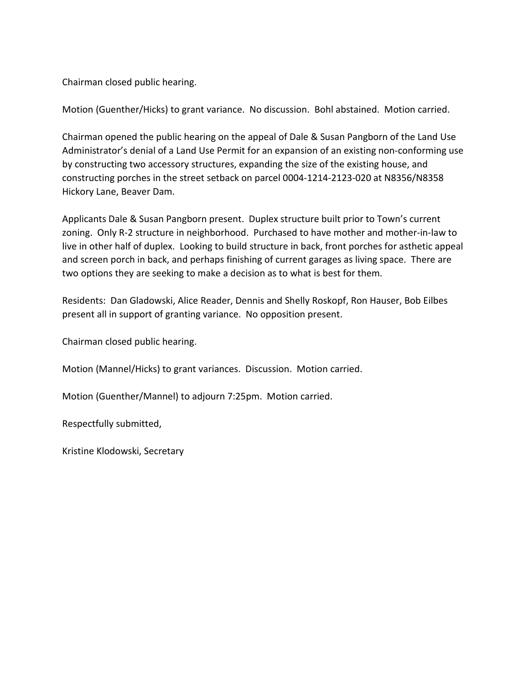Chairman closed public hearing.

Motion (Guenther/Hicks) to grant variance. No discussion. Bohl abstained. Motion carried.

Chairman opened the public hearing on the appeal of Dale & Susan Pangborn of the Land Use Administrator's denial of a Land Use Permit for an expansion of an existing non-conforming use by constructing two accessory structures, expanding the size of the existing house, and constructing porches in the street setback on parcel 0004-1214-2123-020 at N8356/N8358 Hickory Lane, Beaver Dam.

Applicants Dale & Susan Pangborn present. Duplex structure built prior to Town's current zoning. Only R-2 structure in neighborhood. Purchased to have mother and mother-in-law to live in other half of duplex. Looking to build structure in back, front porches for asthetic appeal and screen porch in back, and perhaps finishing of current garages as living space. There are two options they are seeking to make a decision as to what is best for them.

Residents: Dan Gladowski, Alice Reader, Dennis and Shelly Roskopf, Ron Hauser, Bob Eilbes present all in support of granting variance. No opposition present.

Chairman closed public hearing.

Motion (Mannel/Hicks) to grant variances. Discussion. Motion carried.

Motion (Guenther/Mannel) to adjourn 7:25pm. Motion carried.

Respectfully submitted,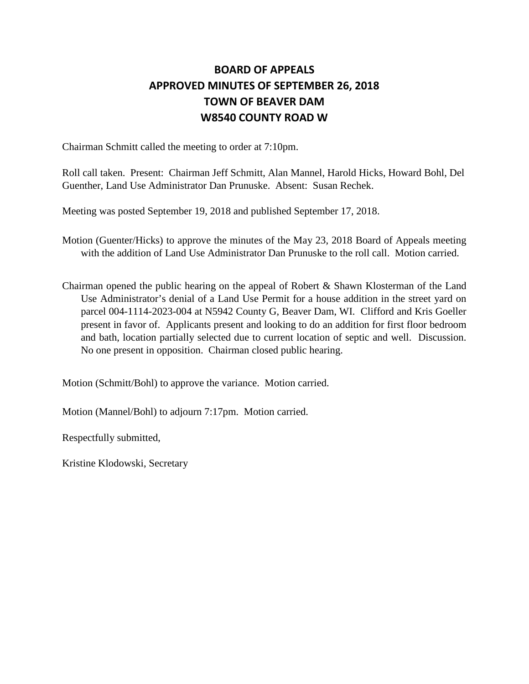## **BOARD OF APPEALS APPROVED MINUTES OF SEPTEMBER 26, 2018 TOWN OF BEAVER DAM W8540 COUNTY ROAD W**

Chairman Schmitt called the meeting to order at 7:10pm.

Roll call taken. Present: Chairman Jeff Schmitt, Alan Mannel, Harold Hicks, Howard Bohl, Del Guenther, Land Use Administrator Dan Prunuske. Absent: Susan Rechek.

Meeting was posted September 19, 2018 and published September 17, 2018.

- Motion (Guenter/Hicks) to approve the minutes of the May 23, 2018 Board of Appeals meeting with the addition of Land Use Administrator Dan Prunuske to the roll call. Motion carried.
- Chairman opened the public hearing on the appeal of Robert & Shawn Klosterman of the Land Use Administrator's denial of a Land Use Permit for a house addition in the street yard on parcel 004-1114-2023-004 at N5942 County G, Beaver Dam, WI. Clifford and Kris Goeller present in favor of. Applicants present and looking to do an addition for first floor bedroom and bath, location partially selected due to current location of septic and well. Discussion. No one present in opposition. Chairman closed public hearing.

Motion (Schmitt/Bohl) to approve the variance. Motion carried.

Motion (Mannel/Bohl) to adjourn 7:17pm. Motion carried.

Respectfully submitted,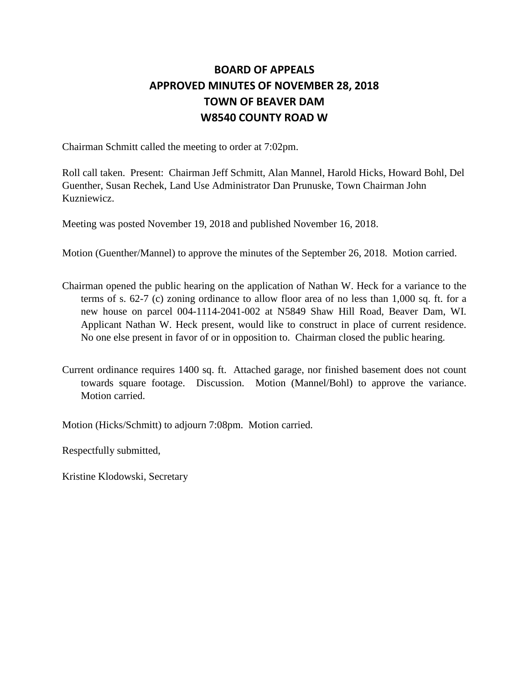## **BOARD OF APPEALS APPROVED MINUTES OF NOVEMBER 28, 2018 TOWN OF BEAVER DAM W8540 COUNTY ROAD W**

Chairman Schmitt called the meeting to order at 7:02pm.

Roll call taken. Present: Chairman Jeff Schmitt, Alan Mannel, Harold Hicks, Howard Bohl, Del Guenther, Susan Rechek, Land Use Administrator Dan Prunuske, Town Chairman John Kuzniewicz.

Meeting was posted November 19, 2018 and published November 16, 2018.

Motion (Guenther/Mannel) to approve the minutes of the September 26, 2018. Motion carried.

- Chairman opened the public hearing on the application of Nathan W. Heck for a variance to the terms of s. 62-7 (c) zoning ordinance to allow floor area of no less than 1,000 sq. ft. for a new house on parcel 004-1114-2041-002 at N5849 Shaw Hill Road, Beaver Dam, WI. Applicant Nathan W. Heck present, would like to construct in place of current residence. No one else present in favor of or in opposition to. Chairman closed the public hearing.
- Current ordinance requires 1400 sq. ft. Attached garage, nor finished basement does not count towards square footage. Discussion. Motion (Mannel/Bohl) to approve the variance. Motion carried.

Motion (Hicks/Schmitt) to adjourn 7:08pm. Motion carried.

Respectfully submitted,